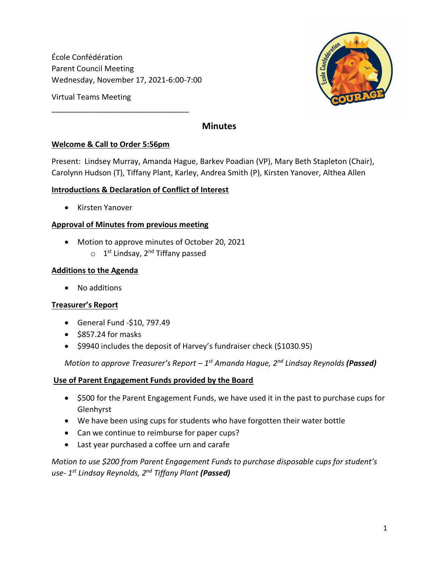École Confédération Parent Council Meeting Wednesday, November 17, 2021-6:00-7:00

\_\_\_\_\_\_\_\_\_\_\_\_\_\_\_\_\_\_\_\_\_\_\_\_\_\_\_\_\_\_\_\_

Virtual Teams Meeting

## **Minutes**

### **Welcome & Call to Order 5:56pm**

Present: Lindsey Murray, Amanda Hague, Barkev Poadian (VP), Mary Beth Stapleton (Chair), Carolynn Hudson (T), Tiffany Plant, Karley, Andrea Smith (P), Kirsten Yanover, Althea Allen

### **Introductions & Declaration of Conflict of Interest**

• Kirsten Yanover

### **Approval of Minutes from previous meeting**

- Motion to approve minutes of October 20, 2021
	- o 1<sup>st</sup> Lindsay, 2<sup>nd</sup> Tiffany passed

#### **Additions to the Agenda**

• No additions

#### **Treasurer's Report**

- General Fund -\$10, 797.49
- \$857.24 for masks
- \$9940 includes the deposit of Harvey's fundraiser check (\$1030.95)

*Motion to approve Treasurer's Report – 1 st Amanda Hague, 2nd Lindsay Reynolds (Passed)*

#### **Use of Parent Engagement Funds provided by the Board**

- \$500 for the Parent Engagement Funds, we have used it in the past to purchase cups for Glenhyrst
- We have been using cups for students who have forgotten their water bottle
- Can we continue to reimburse for paper cups?
- Last year purchased a coffee urn and carafe

*Motion to use \$200 from Parent Engagement Funds to purchase disposable cups for student's use- 1 st Lindsay Reynolds, 2nd Tiffany Plant (Passed)*

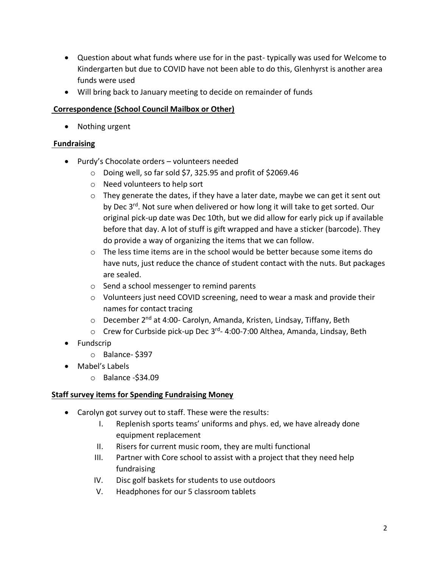- Question about what funds where use for in the past- typically was used for Welcome to Kindergarten but due to COVID have not been able to do this, Glenhyrst is another area funds were used
- Will bring back to January meeting to decide on remainder of funds

## **Correspondence (School Council Mailbox or Other)**

• Nothing urgent

## **Fundraising**

- Purdy's Chocolate orders volunteers needed
	- o Doing well, so far sold \$7, 325.95 and profit of \$2069.46
	- o Need volunteers to help sort
	- $\circ$  They generate the dates, if they have a later date, maybe we can get it sent out by Dec 3<sup>rd</sup>. Not sure when delivered or how long it will take to get sorted. Our original pick-up date was Dec 10th, but we did allow for early pick up if available before that day. A lot of stuff is gift wrapped and have a sticker (barcode). They do provide a way of organizing the items that we can follow.
	- o The less time items are in the school would be better because some items do have nuts, just reduce the chance of student contact with the nuts. But packages are sealed.
	- o Send a school messenger to remind parents
	- $\circ$  Volunteers just need COVID screening, need to wear a mask and provide their names for contact tracing
	- o December 2<sup>nd</sup> at 4:00- Carolyn, Amanda, Kristen, Lindsay, Tiffany, Beth
	- o Crew for Curbside pick-up Dec 3<sup>rd</sup>- 4:00-7:00 Althea, Amanda, Lindsay, Beth
- Fundscrip
	- o Balance- \$397
- Mabel's Labels
	- o Balance -\$34.09

### **Staff survey items for Spending Fundraising Money**

- Carolyn got survey out to staff. These were the results:
	- I. Replenish sports teams' uniforms and phys. ed, we have already done equipment replacement
	- II. Risers for current music room, they are multi functional
	- III. Partner with Core school to assist with a project that they need help fundraising
	- IV. Disc golf baskets for students to use outdoors
	- V. Headphones for our 5 classroom tablets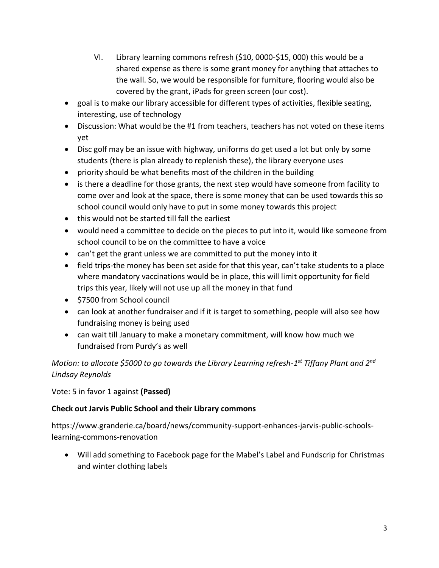- VI. Library learning commons refresh (\$10, 0000-\$15, 000) this would be a shared expense as there is some grant money for anything that attaches to the wall. So, we would be responsible for furniture, flooring would also be covered by the grant, iPads for green screen (our cost).
- goal is to make our library accessible for different types of activities, flexible seating, interesting, use of technology
- Discussion: What would be the #1 from teachers, teachers has not voted on these items yet
- Disc golf may be an issue with highway, uniforms do get used a lot but only by some students (there is plan already to replenish these), the library everyone uses
- priority should be what benefits most of the children in the building
- is there a deadline for those grants, the next step would have someone from facility to come over and look at the space, there is some money that can be used towards this so school council would only have to put in some money towards this project
- this would not be started till fall the earliest
- would need a committee to decide on the pieces to put into it, would like someone from school council to be on the committee to have a voice
- can't get the grant unless we are committed to put the money into it
- field trips-the money has been set aside for that this year, can't take students to a place where mandatory vaccinations would be in place, this will limit opportunity for field trips this year, likely will not use up all the money in that fund
- \$7500 from School council
- can look at another fundraiser and if it is target to something, people will also see how fundraising money is being used
- can wait till January to make a monetary commitment, will know how much we fundraised from Purdy's as well

*Motion: to allocate \$5000 to go towards the Library Learning refresh-1 st Tiffany Plant and 2nd Lindsay Reynolds*

Vote: 5 in favor 1 against **(Passed)**

# **Check out Jarvis Public School and their Library commons**

https://www.granderie.ca/board/news/community-support-enhances-jarvis-public-schoolslearning-commons-renovation

• Will add something to Facebook page for the Mabel's Label and Fundscrip for Christmas and winter clothing labels